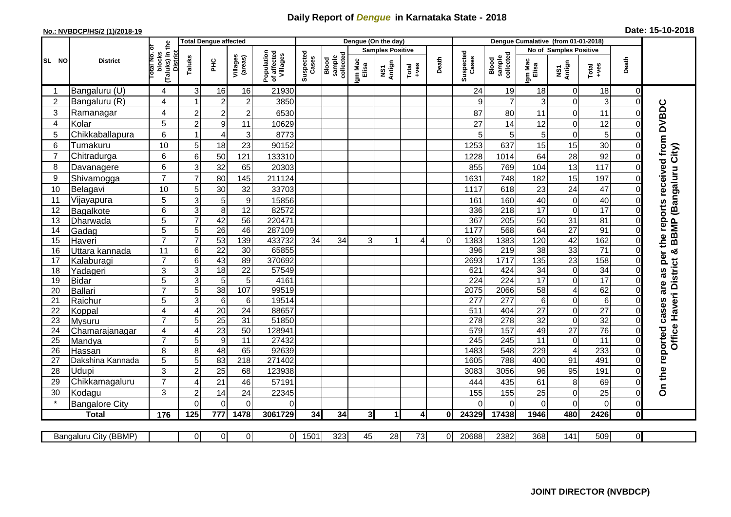## **Daily Report of** *Dengue* **in Karnataka State - 2018**

## **No.: NVBDCP/HS/2 (1)/2018-19 Date: 15-10-2018**

|                                                                                                                                                                                                               | <b>District</b>       | <b>Total Dengue affected</b><br>the             |                           |                      |                      |                                       |                    | Dengue (On the day)          |                  |                         |                |       |                    | Dengue Cumalative (from 01-01-2018) |                        |                                  |                 |                |                                        |  |
|---------------------------------------------------------------------------------------------------------------------------------------------------------------------------------------------------------------|-----------------------|-------------------------------------------------|---------------------------|----------------------|----------------------|---------------------------------------|--------------------|------------------------------|------------------|-------------------------|----------------|-------|--------------------|-------------------------------------|------------------------|----------------------------------|-----------------|----------------|----------------------------------------|--|
| SL NO                                                                                                                                                                                                         |                       |                                                 |                           |                      |                      |                                       | Suspected<br>Cases |                              |                  | <b>Samples Positive</b> |                |       |                    |                                     | No of Samples Positive |                                  |                 |                |                                        |  |
|                                                                                                                                                                                                               |                       | blocks<br>(Taluks) in t<br>District<br>otal No. | Taluks                    | ΞÉ                   | Villages<br>(areas)  | Population<br>of affected<br>Villages |                    | collected<br>Blood<br>sample | Igm Mac<br>Elisa | NS1<br>Antign           | $Total$ $+ves$ | Death | Suspected<br>Cases | Blood<br>sample<br>collected        | Igm Mac<br>Elisa       | NS1<br>Antign                    | Total<br>+ves   | Death          |                                        |  |
| -1                                                                                                                                                                                                            | Bangaluru (U)         | 4                                               | $\mathsf 3$               | 16                   | 16                   | 21930                                 |                    |                              |                  |                         |                |       | 24                 | 19                                  | 18                     | $\overline{0}$                   | 18              | $\overline{0}$ |                                        |  |
| $\overline{2}$                                                                                                                                                                                                | Bangaluru (R)         | 4                                               | 1                         | $\overline{2}$       | $\boldsymbol{2}$     | 3850                                  |                    |                              |                  |                         |                |       | 9                  | $\overline{7}$                      | 3                      | $\overline{0}$                   | 3               | 0              |                                        |  |
| 3                                                                                                                                                                                                             | Ramanagar             | 4                                               | $\overline{2}$            | $\overline{c}$       | $\mathbf 2$          | 6530                                  |                    |                              |                  |                         |                |       | 87                 | 80                                  | 11                     | $\overline{0}$                   | 11              | 0              | as per the reports received from DVBDC |  |
| $\overline{\mathbf{4}}$                                                                                                                                                                                       | Kolar                 | 5                                               | $\overline{2}$            | $\overline{9}$       | 11                   | 10629                                 |                    |                              |                  |                         |                |       | 27                 | 14                                  | 12                     | $\overline{0}$                   | 12              | 0              |                                        |  |
| 5                                                                                                                                                                                                             | Chikkaballapura       | 6                                               | 1                         | 4                    | 3                    | 8773                                  |                    |                              |                  |                         |                |       | 5                  | 5                                   | 5                      | $\overline{0}$                   | 5               | 0              |                                        |  |
| 6                                                                                                                                                                                                             | Tumakuru              | 10                                              | 5                         | 18                   | 23                   | 90152                                 |                    |                              |                  |                         |                |       | 1253               | 637                                 | 15                     | 15                               | 30              | 0              |                                        |  |
| 7                                                                                                                                                                                                             | Chitradurga           | 6                                               | $\,6$                     | 50                   | 121                  | 133310                                |                    |                              |                  |                         |                |       | 1228               | 1014                                | 64                     | 28                               | 92              | 0              |                                        |  |
| 8                                                                                                                                                                                                             | Davanagere            | 6                                               | 3                         | 32                   | 65                   | 20303                                 |                    |                              |                  |                         |                |       | 855                | 769                                 | 104                    | 13                               | 117             | 0              |                                        |  |
| 9                                                                                                                                                                                                             | Shivamogga            | $\overline{7}$                                  | $\overline{7}$            | 80                   | 145                  | 211124                                |                    |                              |                  |                         |                |       | 1631               | 748                                 | 182                    | 15                               | 197             | 0              |                                        |  |
| 10                                                                                                                                                                                                            | Belagavi              | 10                                              | 5                         | 30                   | 32                   | 33703                                 |                    |                              |                  |                         |                |       | 1117               | 618                                 | 23                     | 24                               | 47              | 0              | BBMP (Bangaluru City)                  |  |
| 11                                                                                                                                                                                                            | Vijayapura            | 5                                               | 3                         | 5                    | $9$                  | 15856                                 |                    |                              |                  |                         |                |       | 161                | 160                                 | 40                     | $\overline{0}$                   | 40              | 0              |                                        |  |
| 12                                                                                                                                                                                                            | Bagalkote             | 6                                               | $\ensuremath{\mathsf{3}}$ | $\overline{8}$       | 12                   | 82572                                 |                    |                              |                  |                         |                |       | 336                | 218                                 | 17                     | $\overline{0}$                   | 17              | 0              |                                        |  |
| 13                                                                                                                                                                                                            | Dharwada              | 5                                               | $\overline{7}$            | 42                   | 56                   | 220471                                |                    |                              |                  |                         |                |       | 367                | 205                                 | $\overline{50}$        | 31                               | 81              | 0              |                                        |  |
| 14                                                                                                                                                                                                            | Gadag                 | $\overline{5}$                                  | $\overline{5}$            | 26                   | 46                   | 287109                                |                    |                              |                  |                         |                |       | 1177               | 568                                 | 64                     | $\overline{27}$                  | 91              | $\overline{0}$ |                                        |  |
| 15                                                                                                                                                                                                            | Haveri                | $\overline{7}$                                  | $\overline{7}$            | 53                   | 139                  | 433732                                | 34                 | 34                           | 3                | 1                       | 4              | 0     | 1383               | 1383                                | 120                    | 42                               | 162             | $\overline{0}$ |                                        |  |
| 16                                                                                                                                                                                                            | Uttara kannada        | 11                                              | $\,6$                     | $\overline{22}$      | 30                   | 65855                                 |                    |                              |                  |                         |                |       | 396                | 219                                 | $\overline{38}$        | 33                               | $\overline{71}$ | 0              | න්                                     |  |
| 17                                                                                                                                                                                                            | Kalaburagi            | $\overline{7}$                                  | $\,6$                     | 43                   | 89                   | 370692                                |                    |                              |                  |                         |                |       | 2693               | 1717                                | 135                    | $\overline{23}$                  | 158             | 0              |                                        |  |
| 18                                                                                                                                                                                                            | Yadageri              | 3                                               | 3                         | $\overline{18}$      | 22                   | 57549                                 |                    |                              |                  |                         |                |       | 621                | 424                                 | 34                     | $\overline{0}$                   | 34              |                |                                        |  |
| 19                                                                                                                                                                                                            | <b>Bidar</b>          | 5                                               | $\overline{3}$            | 5                    | $5\phantom{.0}$      | 4161                                  |                    |                              |                  |                         |                |       | $\overline{224}$   | $\overline{224}$                    | 17                     | $\overline{0}$                   | $\overline{17}$ | ∩              | are                                    |  |
| 20                                                                                                                                                                                                            | Ballari               | $\overline{7}$<br>5                             | 5<br>3                    | 38<br>$\overline{6}$ | 107                  | 99519<br>19514                        |                    |                              |                  |                         |                |       | 2075<br>277        | 2066<br>277                         | 58<br>$\,6\,$          | $\overline{4}$<br>$\overline{0}$ | 62<br>$\,6$     | 0              |                                        |  |
| 21<br>22                                                                                                                                                                                                      | Raichur               | 4                                               | $\overline{4}$            | 20                   | $6\phantom{1}$<br>24 | 88657                                 |                    |                              |                  |                         |                |       | 511                | 404                                 | 27                     | $\overline{0}$                   | 27              | 0              |                                        |  |
| 23                                                                                                                                                                                                            | Koppal<br>Mysuru      | $\overline{7}$                                  | 5                         | $\overline{25}$      | $\overline{31}$      | 51850                                 |                    |                              |                  |                         |                |       | 278                | 278                                 | $\overline{32}$        | $\overline{0}$                   | $\overline{32}$ | 0              |                                        |  |
| 24                                                                                                                                                                                                            | Chamarajanagar        | 4                                               | 4                         | $\overline{23}$      | 50                   | 12894                                 |                    |                              |                  |                         |                |       | 579                | 157                                 | 49                     | $\overline{27}$                  | 76              | 0              |                                        |  |
| 25                                                                                                                                                                                                            | Mandya                | $\overline{7}$                                  | 5                         | $\overline{9}$       | $\overline{11}$      | 27432                                 |                    |                              |                  |                         |                |       | 245                | 245                                 | 11                     | $\overline{0}$                   | $\overline{11}$ | 0              | Office Haveri District                 |  |
| 26                                                                                                                                                                                                            | Hassan                | 8                                               | 8                         | 48                   | 65                   | 92639                                 |                    |                              |                  |                         |                |       | 1483               | 548                                 | 229                    | $\overline{4}$                   | 233             | 0              |                                        |  |
| 27                                                                                                                                                                                                            | Dakshina Kannada      | 5                                               | 5                         | 83                   | $\overline{218}$     | 271402                                |                    |                              |                  |                         |                |       | 1605               | 788                                 | 400                    | 91                               | 491             | 0              |                                        |  |
| 28                                                                                                                                                                                                            | Udupi                 | 3                                               | $\overline{2}$            | 25                   | 68                   | 123938                                |                    |                              |                  |                         |                |       | 3083               | 3056                                | 96                     | 95                               | 191             | 0              |                                        |  |
| 29                                                                                                                                                                                                            | Chikkamagaluru        | $\overline{7}$                                  | 4                         | 21                   | 46                   | 57191                                 |                    |                              |                  |                         |                |       | 444                | 435                                 | 61                     | $\mathbf{8}$                     | 69              | 0              | On the reported cases                  |  |
| 30                                                                                                                                                                                                            | Kodagu                | 3                                               | $\overline{c}$            | 14                   | 24                   | 22345                                 |                    |                              |                  |                         |                |       | 155                | 155                                 | 25                     | $\overline{0}$                   | 25              | 0              |                                        |  |
|                                                                                                                                                                                                               | <b>Bangalore City</b> |                                                 | $\overline{0}$            | $\overline{0}$       | $\overline{0}$       | $\Omega$                              |                    |                              |                  |                         |                |       | $\Omega$           | $\Omega$                            | $\overline{0}$         | $\Omega$                         | $\mathbf 0$     | $\mathbf 0$    |                                        |  |
|                                                                                                                                                                                                               | <b>Total</b>          | 176                                             | 125                       | 777                  | 1478                 | 3061729                               | 34                 | 34                           | 3                | $\blacktriangleleft$    | 4              | 0     | 24329              | 17438                               | 1946                   | 480                              | 2426            | $\mathbf 0$    |                                        |  |
|                                                                                                                                                                                                               |                       |                                                 |                           |                      |                      |                                       |                    |                              |                  |                         |                |       |                    |                                     |                        |                                  |                 |                |                                        |  |
| $\overline{0}$<br>$\overline{0}$<br>1501<br>323<br>73<br>20688<br>2382<br>368<br>141<br>509<br>$\overline{0}$<br>Bangaluru City (BBMP)<br><sup>0</sup><br>$\Omega$<br>45<br>$\overline{28}$<br>$\overline{0}$ |                       |                                                 |                           |                      |                      |                                       |                    |                              |                  |                         |                |       |                    |                                     |                        |                                  |                 |                |                                        |  |